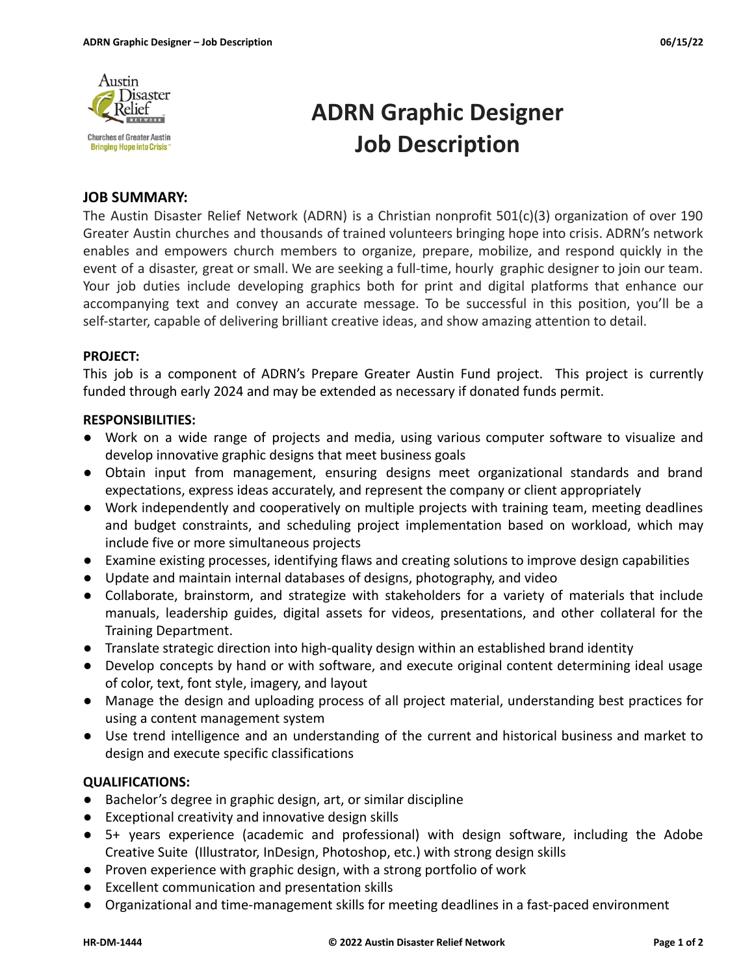

# **ADRN Graphic Designer Job Description**

# **JOB SUMMARY:**

The Austin Disaster Relief Network (ADRN) is a Christian nonprofit 501(c)(3) organization of over 190 Greater Austin churches and thousands of trained volunteers bringing hope into crisis. ADRN's network enables and empowers church members to organize, prepare, mobilize, and respond quickly in the event of a disaster, great or small. We are seeking a full-time, hourly graphic designer to join our team. Your job duties include developing graphics both for print and digital platforms that enhance our accompanying text and convey an accurate message. To be successful in this position, you'll be a self-starter, capable of delivering brilliant creative ideas, and show amazing attention to detail.

## **PROJECT:**

This job is a component of ADRN's Prepare Greater Austin Fund project. This project is currently funded through early 2024 and may be extended as necessary if donated funds permit.

## **RESPONSIBILITIES:**

- Work on a wide range of projects and media, using various computer software to visualize and develop innovative graphic designs that meet business goals
- Obtain input from management, ensuring designs meet organizational standards and brand expectations, express ideas accurately, and represent the company or client appropriately
- Work independently and cooperatively on multiple projects with training team, meeting deadlines and budget constraints, and scheduling project implementation based on workload, which may include five or more simultaneous projects
- Examine existing processes, identifying flaws and creating solutions to improve design capabilities
- Update and maintain internal databases of designs, photography, and video
- Collaborate, brainstorm, and strategize with stakeholders for a variety of materials that include manuals, leadership guides, digital assets for videos, presentations, and other collateral for the Training Department.
- Translate strategic direction into high-quality design within an established brand identity
- Develop concepts by hand or with software, and execute original content determining ideal usage of color, text, font style, imagery, and layout
- Manage the design and uploading process of all project material, understanding best practices for using a content management system
- Use trend intelligence and an understanding of the current and historical business and market to design and execute specific classifications

# **QUALIFICATIONS:**

- Bachelor's degree in graphic design, art, or similar discipline
- Exceptional creativity and innovative design skills
- 5+ years experience (academic and professional) with design software, including the Adobe Creative Suite (Illustrator, InDesign, Photoshop, etc.) with strong design skills
- Proven experience with graphic design, with a strong portfolio of work
- Excellent communication and presentation skills
- Organizational and time-management skills for meeting deadlines in a fast-paced environment